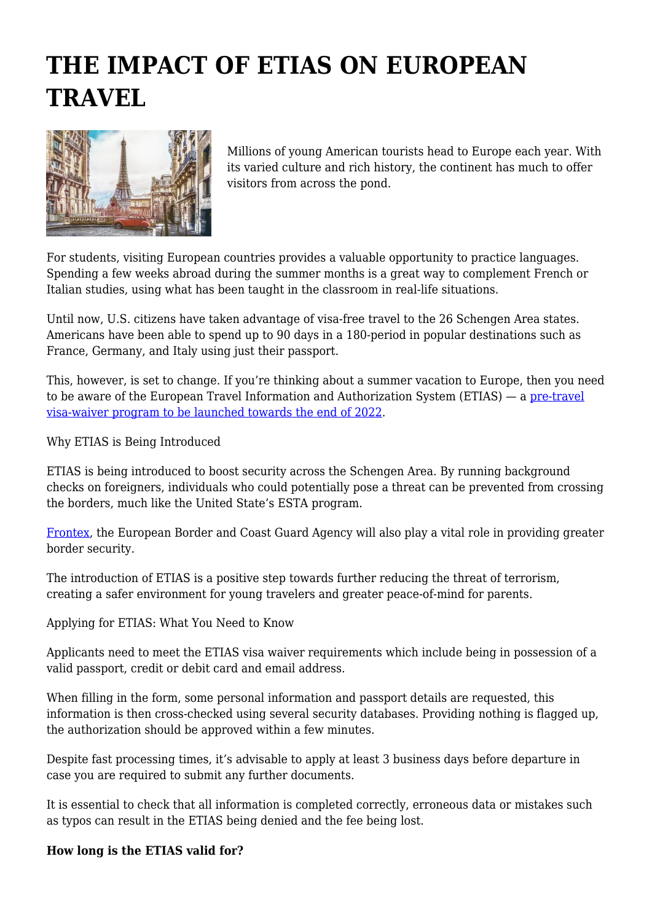## **THE IMPACT OF ETIAS ON EUROPEAN TRAVEL**



Millions of young American tourists head to Europe each year. With its varied culture and rich history, the continent has much to offer visitors from across the pond.

For students, visiting European countries provides a valuable opportunity to practice languages. Spending a few weeks abroad during the summer months is a great way to complement French or Italian studies, using what has been taught in the classroom in real-life situations.

Until now, U.S. citizens have taken advantage of visa-free travel to the 26 Schengen Area states. Americans have been able to spend up to 90 days in a 180-period in popular destinations such as France, Germany, and Italy using just their passport.

This, however, is set to change. If you're thinking about a summer vacation to Europe, then you need to be aware of the European Travel Information and Authorization System (ETIAS) — a [pre-travel](https://www.etias.info/visa-requirements/) [visa-waiver program to be launched towards the end of 2022](https://www.etias.info/visa-requirements/).

Why ETIAS is Being Introduced

ETIAS is being introduced to boost security across the Schengen Area. By running background checks on foreigners, individuals who could potentially pose a threat can be prevented from crossing the borders, much like the United State's ESTA program.

[Frontex,](https://frontex.europa.eu/) the European Border and Coast Guard Agency will also play a vital role in providing greater border security.

The introduction of ETIAS is a positive step towards further reducing the threat of terrorism, creating a safer environment for young travelers and greater peace-of-mind for parents.

Applying for ETIAS: What You Need to Know

Applicants need to meet the ETIAS visa waiver requirements which include being in possession of a valid passport, credit or debit card and email address.

When filling in the form, some personal information and passport details are requested, this information is then cross-checked using several security databases. Providing nothing is flagged up, the authorization should be approved within a few minutes.

Despite fast processing times, it's advisable to apply at least 3 business days before departure in case you are required to submit any further documents.

It is essential to check that all information is completed correctly, erroneous data or mistakes such as typos can result in the ETIAS being denied and the fee being lost.

## **How long is the ETIAS valid for?**